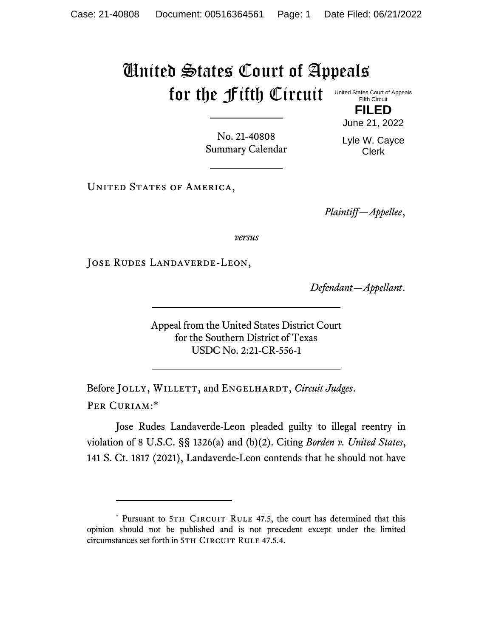## United States Court of Appeals for the Fifth Circuit

United States Court of Appeals Fifth Circuit

> **FILED** June 21, 2022

No. 21-40808 Summary Calendar Lyle W. Cayce Clerk

UNITED STATES OF AMERICA,

*Plaintiff—Appellee*,

*versus*

Jose Rudes Landaverde-Leon,

*Defendant—Appellant*.

Appeal from the United States District Court for the Southern District of Texas USDC No. 2:21-CR-556-1

Before JOLLY, WILLETT, and ENGELHARDT, *Circuit Judges*. Per Curiam:\*

Jose Rudes Landaverde-Leon pleaded guilty to illegal reentry in violation of 8 U.S.C. §§ 1326(a) and (b)(2). Citing *Borden v. United States*, 141 S. Ct. 1817 (2021), Landaverde-Leon contends that he should not have

<sup>\*</sup> Pursuant to 5TH CIRCUIT RULE 47.5, the court has determined that this opinion should not be published and is not precedent except under the limited circumstances set forth in 5TH CIRCUIT RULE 47.5.4.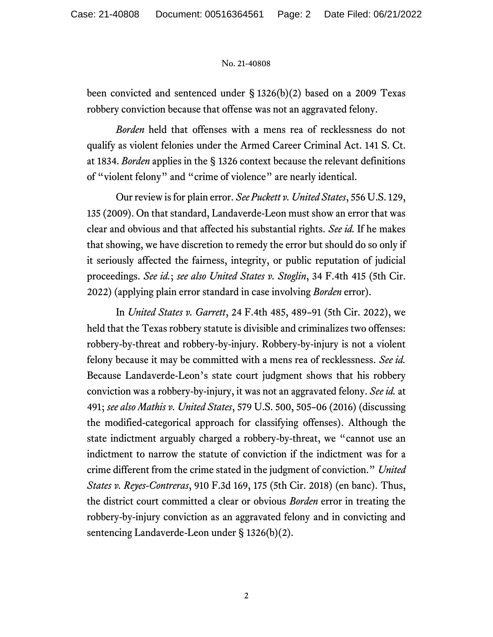## No. 21-40808

been convicted and sentenced under § 1326(b)(2) based on a 2009 Texas robbery conviction because that offense was not an aggravated felony.

*Borden* held that offenses with a mens rea of recklessness do not qualify as violent felonies under the Armed Career Criminal Act. 141 S. Ct. at 1834. *Borden* applies in the § 1326 context because the relevant definitions of "violent felony" and "crime of violence" are nearly identical.

Our review is for plain error. *See Puckett v. United States*, 556 U.S. 129, 135 (2009). On that standard, Landaverde-Leon must show an error that was clear and obvious and that affected his substantial rights. *See id.* If he makes that showing, we have discretion to remedy the error but should do so only if it seriously affected the fairness, integrity, or public reputation of judicial proceedings. *See id.*; *see also United States v. Stoglin*, 34 F.4th 415 (5th Cir. 2022) (applying plain error standard in case involving *Borden* error).

In *United States v. Garrett*, 24 F.4th 485, 489–91 (5th Cir. 2022), we held that the Texas robbery statute is divisible and criminalizes two offenses: robbery-by-threat and robbery-by-injury. Robbery-by-injury is not a violent felony because it may be committed with a mens rea of recklessness. *See id.* Because Landaverde-Leon's state court judgment shows that his robbery conviction was a robbery-by-injury, it was not an aggravated felony. *See id.* at 491; *see also Mathis v. United States*, 579 U.S. 500, 505–06 (2016) (discussing the modified-categorical approach for classifying offenses). Although the state indictment arguably charged a robbery-by-threat, we "cannot use an indictment to narrow the statute of conviction if the indictment was for a crime different from the crime stated in the judgment of conviction." *United States v. Reyes-Contreras*, 910 F.3d 169, 175 (5th Cir. 2018) (en banc). Thus, the district court committed a clear or obvious *Borden* error in treating the robbery-by-injury conviction as an aggravated felony and in convicting and sentencing Landaverde-Leon under § 1326(b)(2).